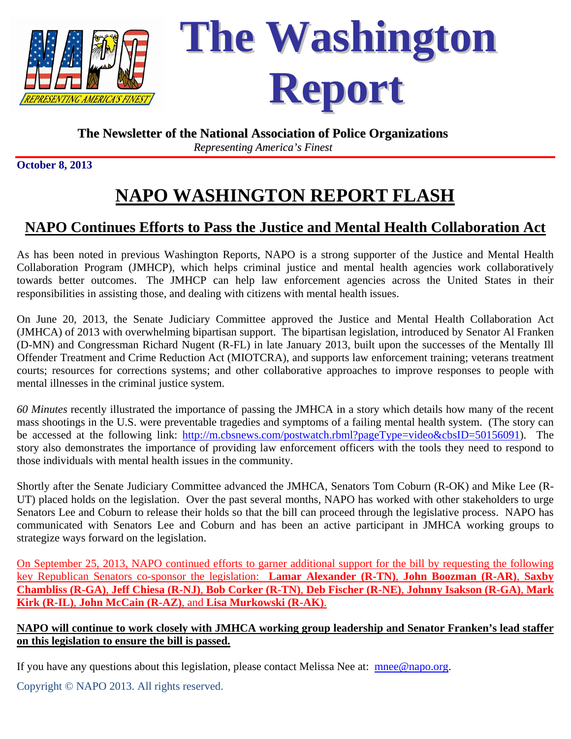

## **The Newsletter of the National Association of Police Organizations** *Representing America's Finest*

**October 8, 2013** 

## **NAPO WASHINGTON REPORT FLASH**

## **NAPO Continues Efforts to Pass the Justice and Mental Health Collaboration Act**

As has been noted in previous Washington Reports, NAPO is a strong supporter of the Justice and Mental Health Collaboration Program (JMHCP), which helps criminal justice and mental health agencies work collaboratively towards better outcomes. The JMHCP can help law enforcement agencies across the United States in their responsibilities in assisting those, and dealing with citizens with mental health issues.

On June 20, 2013, the Senate Judiciary Committee approved the Justice and Mental Health Collaboration Act (JMHCA) of 2013 with overwhelming bipartisan support. The bipartisan legislation, introduced by Senator Al Franken (D-MN) and Congressman Richard Nugent (R-FL) in late January 2013, built upon the successes of the Mentally Ill Offender Treatment and Crime Reduction Act (MIOTCRA), and supports law enforcement training; veterans treatment courts; resources for corrections systems; and other collaborative approaches to improve responses to people with mental illnesses in the criminal justice system.

*60 Minutes* recently illustrated the importance of passing the JMHCA in a story which details how many of the recent mass shootings in the U.S. were preventable tragedies and symptoms of a failing mental health system. (The story can be accessed at the following link: http://m.cbsnews.com/postwatch.rbml?pageType=video&cbsID=50156091). The story also demonstrates the importance of providing law enforcement officers with the tools they need to respond to those individuals with mental health issues in the community.

Shortly after the Senate Judiciary Committee advanced the JMHCA, Senators Tom Coburn (R-OK) and Mike Lee (R-UT) placed holds on the legislation. Over the past several months, NAPO has worked with other stakeholders to urge Senators Lee and Coburn to release their holds so that the bill can proceed through the legislative process. NAPO has communicated with Senators Lee and Coburn and has been an active participant in JMHCA working groups to strategize ways forward on the legislation.

On September 25, 2013, NAPO continued efforts to garner additional support for the bill by requesting the following key Republican Senators co-sponsor the legislation: **Lamar Alexander (R-TN)**, **John Boozman (R-AR)**, **Saxby Chambliss (R-GA)**, **Jeff Chiesa (R-NJ)**, **Bob Corker (R-TN)**, **Deb Fischer (R-NE)**, **Johnny Isakson (R-GA)**, **Mark Kirk (R-IL)**, **John McCain (R-AZ)**, and **Lisa Murkowski (R-AK)**.

## **NAPO will continue to work closely with JMHCA working group leadership and Senator Franken's lead staffer on this legislation to ensure the bill is passed.**

If you have any questions about this legislation, please contact Melissa Nee at: mnee@napo.org.

Copyright © NAPO 2013. All rights reserved.